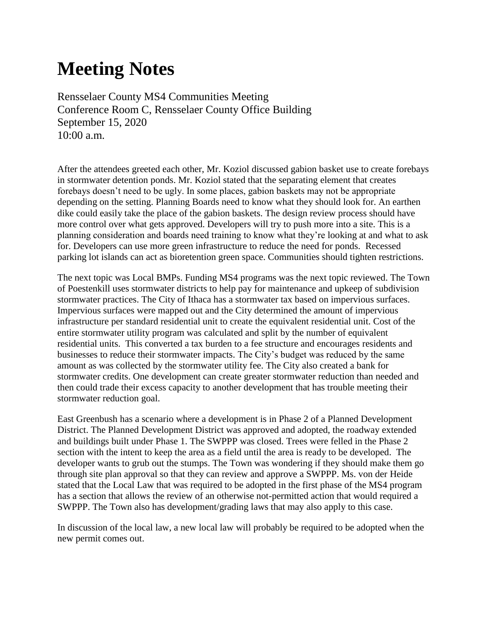## **Meeting Notes**

Rensselaer County MS4 Communities Meeting Conference Room C, Rensselaer County Office Building September 15, 2020 10:00 a.m.

After the attendees greeted each other, Mr. Koziol discussed gabion basket use to create forebays in stormwater detention ponds. Mr. Koziol stated that the separating element that creates forebays doesn't need to be ugly. In some places, gabion baskets may not be appropriate depending on the setting. Planning Boards need to know what they should look for. An earthen dike could easily take the place of the gabion baskets. The design review process should have more control over what gets approved. Developers will try to push more into a site. This is a planning consideration and boards need training to know what they're looking at and what to ask for. Developers can use more green infrastructure to reduce the need for ponds. Recessed parking lot islands can act as bioretention green space. Communities should tighten restrictions.

The next topic was Local BMPs. Funding MS4 programs was the next topic reviewed. The Town of Poestenkill uses stormwater districts to help pay for maintenance and upkeep of subdivision stormwater practices. The City of Ithaca has a stormwater tax based on impervious surfaces. Impervious surfaces were mapped out and the City determined the amount of impervious infrastructure per standard residential unit to create the equivalent residential unit. Cost of the entire stormwater utility program was calculated and split by the number of equivalent residential units. This converted a tax burden to a fee structure and encourages residents and businesses to reduce their stormwater impacts. The City's budget was reduced by the same amount as was collected by the stormwater utility fee. The City also created a bank for stormwater credits. One development can create greater stormwater reduction than needed and then could trade their excess capacity to another development that has trouble meeting their stormwater reduction goal.

East Greenbush has a scenario where a development is in Phase 2 of a Planned Development District. The Planned Development District was approved and adopted, the roadway extended and buildings built under Phase 1. The SWPPP was closed. Trees were felled in the Phase 2 section with the intent to keep the area as a field until the area is ready to be developed. The developer wants to grub out the stumps. The Town was wondering if they should make them go through site plan approval so that they can review and approve a SWPPP. Ms. von der Heide stated that the Local Law that was required to be adopted in the first phase of the MS4 program has a section that allows the review of an otherwise not-permitted action that would required a SWPPP. The Town also has development/grading laws that may also apply to this case.

In discussion of the local law, a new local law will probably be required to be adopted when the new permit comes out.